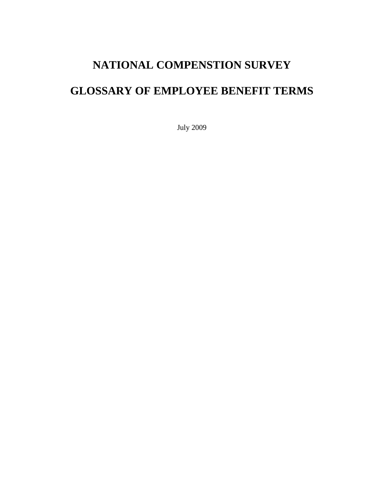# **NATIONAL COMPENSTION SURVEY**

# **GLOSSARY OF EMPLOYEE BENEFIT TERMS**

July 2009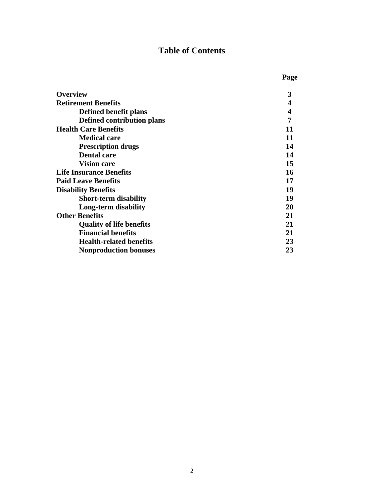# **Table of Contents**

|                                 | Page |
|---------------------------------|------|
| <b>Overview</b>                 | 3    |
| <b>Retirement Benefits</b>      | 4    |
| Defined benefit plans           | 4    |
| Defined contribution plans      | 7    |
| <b>Health Care Benefits</b>     | 11   |
| <b>Medical care</b>             | 11   |
| <b>Prescription drugs</b>       | 14   |
| <b>Dental care</b>              | 14   |
| <b>Vision care</b>              | 15   |
| <b>Life Insurance Benefits</b>  | 16   |
| <b>Paid Leave Benefits</b>      | 17   |
| <b>Disability Benefits</b>      | 19   |
| <b>Short-term disability</b>    | 19   |
| Long-term disability            | 20   |
| <b>Other Benefits</b>           | 21   |
| <b>Quality of life benefits</b> | 21   |
| <b>Financial benefits</b>       | 21   |
| <b>Health-related benefits</b>  | 23   |
| <b>Nonproduction bonuses</b>    | 23   |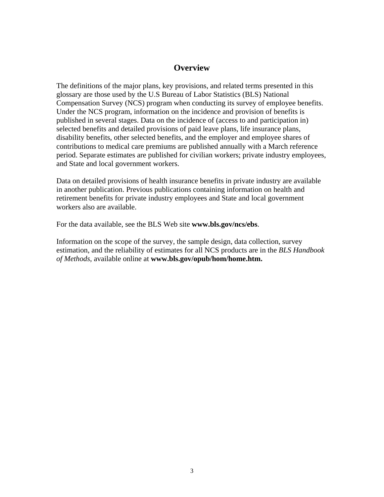## **Overview**

The definitions of the major plans, key provisions, and related terms presented in this glossary are those used by the U.S Bureau of Labor Statistics (BLS) National Compensation Survey (NCS) program when conducting its survey of employee benefits. Under the NCS program, information on the incidence and provision of benefits is published in several stages. Data on the incidence of (access to and participation in) selected benefits and detailed provisions of paid leave plans, life insurance plans, disability benefits, other selected benefits, and the employer and employee shares of contributions to medical care premiums are published annually with a March reference period. Separate estimates are published for civilian workers; private industry employees, and State and local government workers.

Data on detailed provisions of health insurance benefits in private industry are available in another publication. Previous publications containing information on health and retirement benefits for private industry employees and State and local government workers also are available.

For the data available, see the BLS Web site **www.bls.gov/ncs/ebs**.

Information on the scope of the survey, the sample design, data collection, survey estimation, and the reliability of estimates for all NCS products are in the *BLS Handbook of Methods*, available online at **www.bls.gov/opub/hom/home.htm.**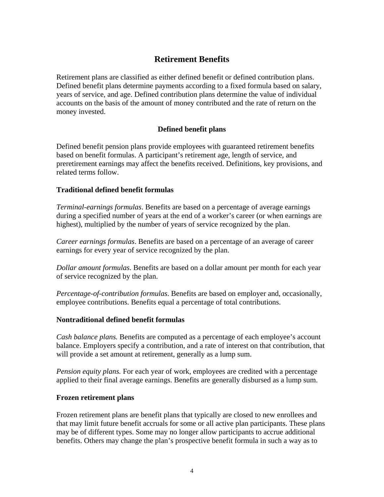# **Retirement Benefits**

Retirement plans are classified as either defined benefit or defined contribution plans. Defined benefit plans determine payments according to a fixed formula based on salary, years of service, and age. Defined contribution plans determine the value of individual accounts on the basis of the amount of money contributed and the rate of return on the money invested.

## **Defined benefit plans**

Defined benefit pension plans provide employees with guaranteed retirement benefits based on benefit formulas. A participant's retirement age, length of service, and preretirement earnings may affect the benefits received. Definitions, key provisions, and related terms follow.

## **Traditional defined benefit formulas**

*Terminal-earnings formulas*. Benefits are based on a percentage of average earnings during a specified number of years at the end of a worker's career (or when earnings are highest), multiplied by the number of years of service recognized by the plan.

*Career earnings formulas*. Benefits are based on a percentage of an average of career earnings for every year of service recognized by the plan.

*Dollar amount formulas*. Benefits are based on a dollar amount per month for each year of service recognized by the plan.

*Percentage-of-contribution formulas*. Benefits are based on employer and, occasionally, employee contributions. Benefits equal a percentage of total contributions.

## **Nontraditional defined benefit formulas**

*Cash balance plans.* Benefits are computed as a percentage of each employee's account balance. Employers specify a contribution, and a rate of interest on that contribution, that will provide a set amount at retirement, generally as a lump sum.

*Pension equity plans.* For each year of work, employees are credited with a percentage applied to their final average earnings. Benefits are generally disbursed as a lump sum.

#### **Frozen retirement plans**

Frozen retirement plans are benefit plans that typically are closed to new enrollees and that may limit future benefit accruals for some or all active plan participants. These plans may be of different types. Some may no longer allow participants to accrue additional benefits. Others may change the plan's prospective benefit formula in such a way as to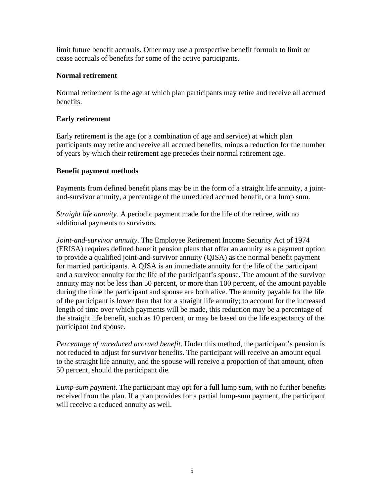limit future benefit accruals. Other may use a prospective benefit formula to limit or cease accruals of benefits for some of the active participants.

## **Normal retirement**

Normal retirement is the age at which plan participants may retire and receive all accrued benefits.

## **Early retirement**

Early retirement is the age (or a combination of age and service) at which plan participants may retire and receive all accrued benefits, minus a reduction for the number of years by which their retirement age precedes their normal retirement age.

## **Benefit payment methods**

Payments from defined benefit plans may be in the form of a straight life annuity, a jointand-survivor annuity, a percentage of the unreduced accrued benefit, or a lump sum.

*Straight life annuity.* A periodic payment made for the life of the retiree, with no additional payments to survivors.

*Joint-and-survivor annuity*. The Employee Retirement Income Security Act of 1974 (ERISA) requires defined benefit pension plans that offer an annuity as a payment option to provide a qualified joint-and-survivor annuity (QJSA) as the normal benefit payment for married participants. A QJSA is an immediate annuity for the life of the participant and a survivor annuity for the life of the participant's spouse. The amount of the survivor annuity may not be less than 50 percent, or more than 100 percent, of the amount payable during the time the participant and spouse are both alive. The annuity payable for the life of the participant is lower than that for a straight life annuity; to account for the increased length of time over which payments will be made, this reduction may be a percentage of the straight life benefit, such as 10 percent, or may be based on the life expectancy of the participant and spouse.

*Percentage of unreduced accrued benefit*. Under this method, the participant's pension is not reduced to adjust for survivor benefits. The participant will receive an amount equal to the straight life annuity, and the spouse will receive a proportion of that amount, often 50 percent, should the participant die.

*Lump-sum payment*. The participant may opt for a full lump sum, with no further benefits received from the plan. If a plan provides for a partial lump-sum payment, the participant will receive a reduced annuity as well.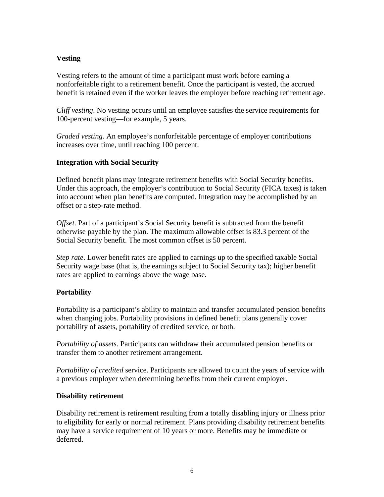## **Vesting**

Vesting refers to the amount of time a participant must work before earning a nonforfeitable right to a retirement benefit. Once the participant is vested, the accrued benefit is retained even if the worker leaves the employer before reaching retirement age.

*Cliff vesting*. No vesting occurs until an employee satisfies the service requirements for 100-percent vesting—for example, 5 years.

*Graded vesting*. An employee's nonforfeitable percentage of employer contributions increases over time, until reaching 100 percent.

## **Integration with Social Security**

Defined benefit plans may integrate retirement benefits with Social Security benefits. Under this approach, the employer's contribution to Social Security (FICA taxes) is taken into account when plan benefits are computed. Integration may be accomplished by an offset or a step-rate method.

*Offset*. Part of a participant's Social Security benefit is subtracted from the benefit otherwise payable by the plan. The maximum allowable offset is 83.3 percent of the Social Security benefit. The most common offset is 50 percent.

*Step rate*. Lower benefit rates are applied to earnings up to the specified taxable Social Security wage base (that is, the earnings subject to Social Security tax); higher benefit rates are applied to earnings above the wage base.

## **Portability**

Portability is a participant's ability to maintain and transfer accumulated pension benefits when changing jobs. Portability provisions in defined benefit plans generally cover portability of assets, portability of credited service, or both.

*Portability of assets*. Participants can withdraw their accumulated pension benefits or transfer them to another retirement arrangement.

*Portability of credited* service. Participants are allowed to count the years of service with a previous employer when determining benefits from their current employer.

## **Disability retirement**

Disability retirement is retirement resulting from a totally disabling injury or illness prior to eligibility for early or normal retirement. Plans providing disability retirement benefits may have a service requirement of 10 years or more. Benefits may be immediate or deferred.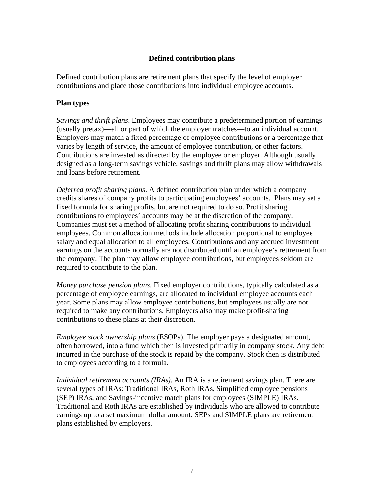## **Defined contribution plans**

Defined contribution plans are retirement plans that specify the level of employer contributions and place those contributions into individual employee accounts.

#### **Plan types**

*Savings and thrift plans*. Employees may contribute a predetermined portion of earnings (usually pretax)—all or part of which the employer matches—to an individual account. Employers may match a fixed percentage of employee contributions or a percentage that varies by length of service, the amount of employee contribution, or other factors. Contributions are invested as directed by the employee or employer. Although usually designed as a long-term savings vehicle, savings and thrift plans may allow withdrawals and loans before retirement.

*Deferred profit sharing plans*. A defined contribution plan under which a company credits shares of company profits to participating employees' accounts. Plans may set a fixed formula for sharing profits, but are not required to do so. Profit sharing contributions to employees' accounts may be at the discretion of the company. Companies must set a method of allocating profit sharing contributions to individual employees. Common allocation methods include allocation proportional to employee salary and equal allocation to all employees. Contributions and any accrued investment earnings on the accounts normally are not distributed until an employee's retirement from the company. The plan may allow employee contributions, but employees seldom are required to contribute to the plan.

*Money purchase pension plans*. Fixed employer contributions, typically calculated as a percentage of employee earnings, are allocated to individual employee accounts each year. Some plans may allow employee contributions, but employees usually are not required to make any contributions. Employers also may make profit-sharing contributions to these plans at their discretion.

*Employee stock ownership plans* (ESOPs). The employer pays a designated amount, often borrowed, into a fund which then is invested primarily in company stock. Any debt incurred in the purchase of the stock is repaid by the company. Stock then is distributed to employees according to a formula.

*Individual retirement accounts (IRAs)*. An IRA is a retirement savings plan. There are several types of IRAs: Traditional IRAs, Roth IRAs, Simplified employee pensions (SEP) IRAs, and Savings-incentive match plans for employees (SIMPLE) IRAs. Traditional and Roth IRAs are established by individuals who are allowed to contribute earnings up to a set maximum dollar amount. SEPs and SIMPLE plans are retirement plans established by employers.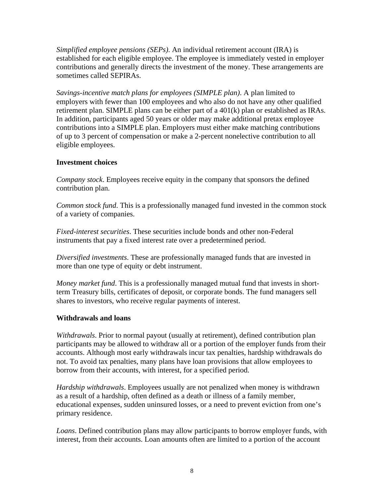*Simplified employee pensions (SEPs)*. An individual retirement account (IRA) is established for each eligible employee. The employee is immediately vested in employer contributions and generally directs the investment of the money. These arrangements are sometimes called SEPIRAs.

*Savings-incentive match plans for employees (SIMPLE plan)*. A plan limited to employers with fewer than 100 employees and who also do not have any other qualified retirement plan. SIMPLE plans can be either part of a 401(k) plan or established as IRAs. In addition, participants aged 50 years or older may make additional pretax employee contributions into a SIMPLE plan. Employers must either make matching contributions of up to 3 percent of compensation or make a 2-percent nonelective contribution to all eligible employees.

## **Investment choices**

*Company stock*. Employees receive equity in the company that sponsors the defined contribution plan.

*Common stock fund*. This is a professionally managed fund invested in the common stock of a variety of companies.

*Fixed-interest securities*. These securities include bonds and other non-Federal instruments that pay a fixed interest rate over a predetermined period.

*Diversified investments*. These are professionally managed funds that are invested in more than one type of equity or debt instrument.

*Money market fund*. This is a professionally managed mutual fund that invests in shortterm Treasury bills, certificates of deposit, or corporate bonds. The fund managers sell shares to investors, who receive regular payments of interest.

#### **Withdrawals and loans**

*Withdrawals*. Prior to normal payout (usually at retirement), defined contribution plan participants may be allowed to withdraw all or a portion of the employer funds from their accounts. Although most early withdrawals incur tax penalties, hardship withdrawals do not. To avoid tax penalties, many plans have loan provisions that allow employees to borrow from their accounts, with interest, for a specified period.

*Hardship withdrawals*. Employees usually are not penalized when money is withdrawn as a result of a hardship, often defined as a death or illness of a family member, educational expenses, sudden uninsured losses, or a need to prevent eviction from one's primary residence.

*Loans*. Defined contribution plans may allow participants to borrow employer funds, with interest, from their accounts. Loan amounts often are limited to a portion of the account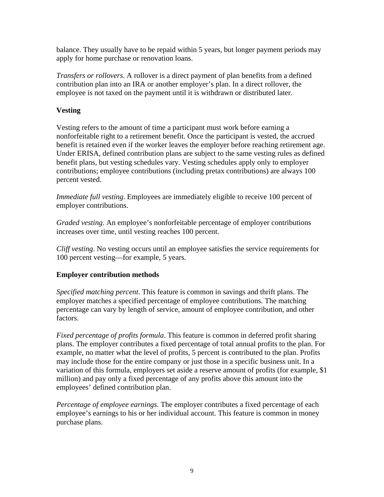balance. They usually have to be repaid within 5 years, but longer payment periods may apply for home purchase or renovation loans.

*Transfers or rollovers*. A rollover is a direct payment of plan benefits from a defined contribution plan into an IRA or another employer's plan. In a direct rollover, the employee is not taxed on the payment until it is withdrawn or distributed later.

## **Vesting**

Vesting refers to the amount of time a participant must work before earning a nonforfeitable right to a retirement benefit. Once the participant is vested, the accrued benefit is retained even if the worker leaves the employer before reaching retirement age. Under ERISA, defined contribution plans are subject to the same vesting rules as defined benefit plans, but vesting schedules vary. Vesting schedules apply only to employer contributions; employee contributions (including pretax contributions) are always 100 percent vested.

*Immediate full vesting*. Employees are immediately eligible to receive 100 percent of employer contributions.

*Graded vesting*. An employee's nonforfeitable percentage of employer contributions increases over time, until vesting reaches 100 percent.

*Cliff vesting*. No vesting occurs until an employee satisfies the service requirements for 100 percent vesting—for example, 5 years.

## **Employer contribution methods**

*Specified matching percent*. This feature is common in savings and thrift plans. The employer matches a specified percentage of employee contributions. The matching percentage can vary by length of service, amount of employee contribution, and other factors.

*Fixed percentage of profits formula*. This feature is common in deferred profit sharing plans. The employer contributes a fixed percentage of total annual profits to the plan. For example, no matter what the level of profits, 5 percent is contributed to the plan. Profits may include those for the entire company or just those in a specific business unit. In a variation of this formula, employers set aside a reserve amount of profits (for example, \$1 million) and pay only a fixed percentage of any profits above this amount into the employees' defined contribution plan.

*Percentage of employee earnings*. The employer contributes a fixed percentage of each employee's earnings to his or her individual account. This feature is common in money purchase plans.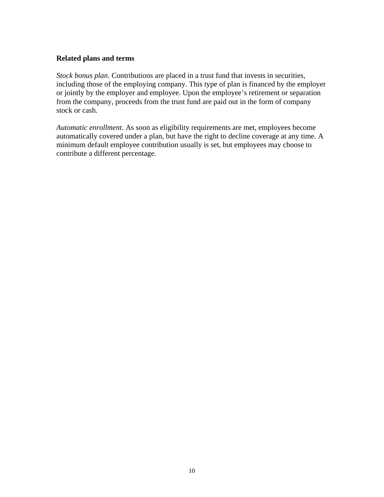## **Related plans and terms**

*Stock bonus plan*. Contributions are placed in a trust fund that invests in securities, including those of the employing company. This type of plan is financed by the employer or jointly by the employer and employee. Upon the employee's retirement or separation from the company, proceeds from the trust fund are paid out in the form of company stock or cash.

*Automatic enrollment*. As soon as eligibility requirements are met, employees become automatically covered under a plan, but have the right to decline coverage at any time. A minimum default employee contribution usually is set, but employees may choose to contribute a different percentage.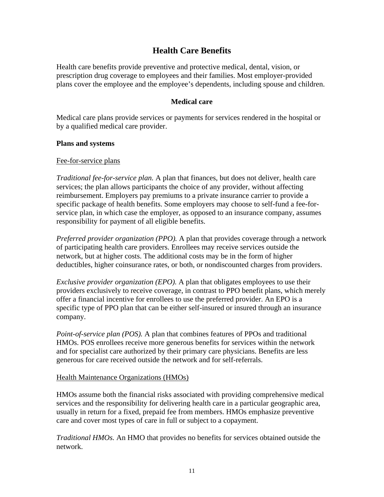# **Health Care Benefits**

Health care benefits provide preventive and protective medical, dental, vision, or prescription drug coverage to employees and their families. Most employer-provided plans cover the employee and the employee's dependents, including spouse and children.

#### **Medical care**

Medical care plans provide services or payments for services rendered in the hospital or by a qualified medical care provider.

#### **Plans and systems**

#### Fee-for-service plans

*Traditional fee-for-service plan.* A plan that finances, but does not deliver, health care services; the plan allows participants the choice of any provider, without affecting reimbursement. Employers pay premiums to a private insurance carrier to provide a specific package of health benefits. Some employers may choose to self-fund a fee-forservice plan, in which case the employer, as opposed to an insurance company, assumes responsibility for payment of all eligible benefits.

*Preferred provider organization (PPO).* A plan that provides coverage through a network of participating health care providers. Enrollees may receive services outside the network, but at higher costs. The additional costs may be in the form of higher deductibles, higher coinsurance rates, or both, or nondiscounted charges from providers.

*Exclusive provider organization (EPO).* A plan that obligates employees to use their providers exclusively to receive coverage, in contrast to PPO benefit plans, which merely offer a financial incentive for enrollees to use the preferred provider. An EPO is a specific type of PPO plan that can be either self-insured or insured through an insurance company.

*Point-of-service plan (POS).* A plan that combines features of PPOs and traditional HMOs. POS enrollees receive more generous benefits for services within the network and for specialist care authorized by their primary care physicians. Benefits are less generous for care received outside the network and for self-referrals.

#### Health Maintenance Organizations (HMOs)

HMOs assume both the financial risks associated with providing comprehensive medical services and the responsibility for delivering health care in a particular geographic area, usually in return for a fixed, prepaid fee from members. HMOs emphasize preventive care and cover most types of care in full or subject to a copayment.

*Traditional HMOs.* An HMO that provides no benefits for services obtained outside the network.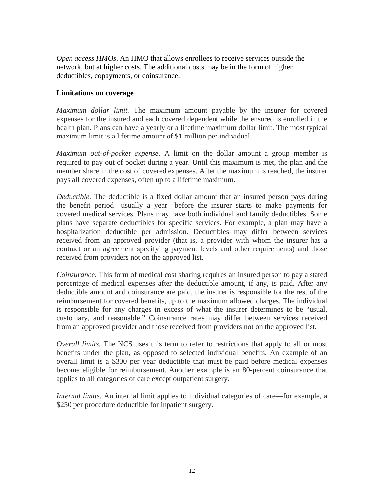*Open access HMOs*. An HMO that allows enrollees to receive services outside the network, but at higher costs. The additional costs may be in the form of higher deductibles, copayments, or coinsurance.

### **Limitations on coverage**

*Maximum dollar limit.* The maximum amount payable by the insurer for covered expenses for the insured and each covered dependent while the ensured is enrolled in the health plan. Plans can have a yearly or a lifetime maximum dollar limit. The most typical maximum limit is a lifetime amount of \$1 million per individual.

*Maximum out-of-pocket expense.* A limit on the dollar amount a group member is required to pay out of pocket during a year. Until this maximum is met, the plan and the member share in the cost of covered expenses. After the maximum is reached, the insurer pays all covered expenses, often up to a lifetime maximum.

*Deductible.* The deductible is a fixed dollar amount that an insured person pays during the benefit period—usually a year—before the insurer starts to make payments for covered medical services. Plans may have both individual and family deductibles. Some plans have separate deductibles for specific services. For example, a plan may have a hospitalization deductible per admission. Deductibles may differ between services received from an approved provider (that is, a provider with whom the insurer has a contract or an agreement specifying payment levels and other requirements) and those received from providers not on the approved list.

*Coinsurance.* This form of medical cost sharing requires an insured person to pay a stated percentage of medical expenses after the deductible amount, if any, is paid. After any deductible amount and coinsurance are paid, the insurer is responsible for the rest of the reimbursement for covered benefits, up to the maximum allowed charges. The individual is responsible for any charges in excess of what the insurer determines to be "usual, customary, and reasonable." Coinsurance rates may differ between services received from an approved provider and those received from providers not on the approved list.

*Overall limits.* The NCS uses this term to refer to restrictions that apply to all or most benefits under the plan, as opposed to selected individual benefits. An example of an overall limit is a \$300 per year deductible that must be paid before medical expenses become eligible for reimbursement. Another example is an 80-percent coinsurance that applies to all categories of care except outpatient surgery.

*Internal limits.* An internal limit applies to individual categories of care—for example, a \$250 per procedure deductible for inpatient surgery.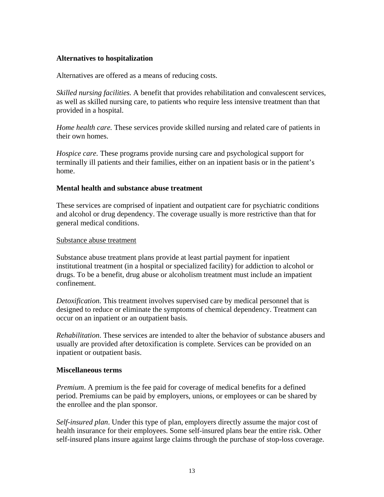## **Alternatives to hospitalization**

Alternatives are offered as a means of reducing costs.

*Skilled nursing facilities.* A benefit that provides rehabilitation and convalescent services, as well as skilled nursing care, to patients who require less intensive treatment than that provided in a hospital.

*Home health care.* These services provide skilled nursing and related care of patients in their own homes.

*Hospice care.* These programs provide nursing care and psychological support for terminally ill patients and their families, either on an inpatient basis or in the patient's home.

#### **Mental health and substance abuse treatment**

These services are comprised of inpatient and outpatient care for psychiatric conditions and alcohol or drug dependency. The coverage usually is more restrictive than that for general medical conditions.

#### Substance abuse treatment

Substance abuse treatment plans provide at least partial payment for inpatient institutional treatment (in a hospital or specialized facility) for addiction to alcohol or drugs. To be a benefit, drug abuse or alcoholism treatment must include an impatient confinement.

*Detoxification.* This treatment involves supervised care by medical personnel that is designed to reduce or eliminate the symptoms of chemical dependency. Treatment can occur on an inpatient or an outpatient basis.

*Rehabilitation*. These services are intended to alter the behavior of substance abusers and usually are provided after detoxification is complete. Services can be provided on an inpatient or outpatient basis.

#### **Miscellaneous terms**

*Premium*. A premium is the fee paid for coverage of medical benefits for a defined period. Premiums can be paid by employers, unions, or employees or can be shared by the enrollee and the plan sponsor.

*Self-insured plan*. Under this type of plan, employers directly assume the major cost of health insurance for their employees. Some self-insured plans bear the entire risk. Other self-insured plans insure against large claims through the purchase of stop-loss coverage.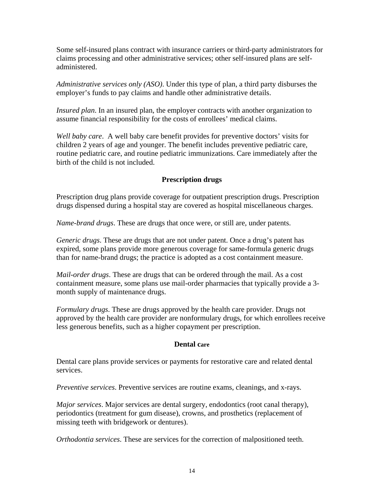Some self-insured plans contract with insurance carriers or third-party administrators for claims processing and other administrative services; other self-insured plans are selfadministered.

*Administrative services only (ASO)*. Under this type of plan, a third party disburses the employer's funds to pay claims and handle other administrative details.

*Insured plan*. In an insured plan, the employer contracts with another organization to assume financial responsibility for the costs of enrollees' medical claims.

*Well baby care*. A well baby care benefit provides for preventive doctors' visits for children 2 years of age and younger. The benefit includes preventive pediatric care, routine pediatric care, and routine pediatric immunizations. Care immediately after the birth of the child is not included.

## **Prescription drugs**

Prescription drug plans provide coverage for outpatient prescription drugs. Prescription drugs dispensed during a hospital stay are covered as hospital miscellaneous charges.

*Name-brand drugs*. These are drugs that once were, or still are, under patents.

*Generic drugs*. These are drugs that are not under patent. Once a drug's patent has expired, some plans provide more generous coverage for same-formula generic drugs than for name-brand drugs; the practice is adopted as a cost containment measure.

*Mail-order drugs*. These are drugs that can be ordered through the mail. As a cost containment measure, some plans use mail-order pharmacies that typically provide a 3 month supply of maintenance drugs.

*Formulary drugs*. These are drugs approved by the health care provider. Drugs not approved by the health care provider are nonformulary drugs, for which enrollees receive less generous benefits, such as a higher copayment per prescription.

## **Dental care**

Dental care plans provide services or payments for restorative care and related dental services.

*Preventive services*. Preventive services are routine exams, cleanings, and x-rays.

*Major services*. Major services are dental surgery, endodontics (root canal therapy), periodontics (treatment for gum disease), crowns, and prosthetics (replacement of missing teeth with bridgework or dentures).

*Orthodontia services*. These are services for the correction of malpositioned teeth.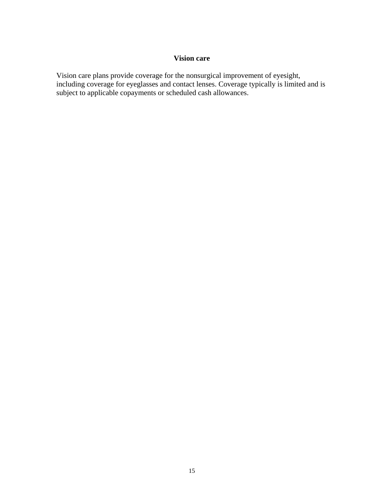#### **Vision care**

Vision care plans provide coverage for the nonsurgical improvement of eyesight, including coverage for eyeglasses and contact lenses. Coverage typically is limited and is subject to applicable copayments or scheduled cash allowances.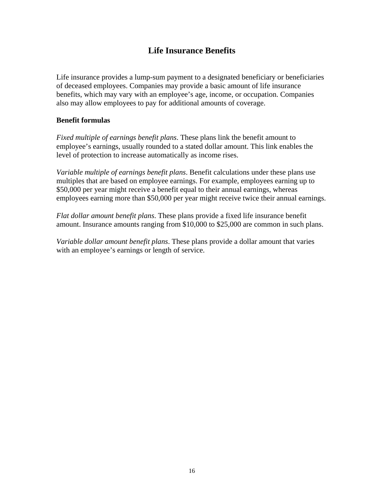# **Life Insurance Benefits**

Life insurance provides a lump-sum payment to a designated beneficiary or beneficiaries of deceased employees. Companies may provide a basic amount of life insurance benefits, which may vary with an employee's age, income, or occupation. Companies also may allow employees to pay for additional amounts of coverage.

## **Benefit formulas**

*Fixed multiple of earnings benefit plans*. These plans link the benefit amount to employee's earnings, usually rounded to a stated dollar amount. This link enables the level of protection to increase automatically as income rises.

*Variable multiple of earnings benefit plans*. Benefit calculations under these plans use multiples that are based on employee earnings. For example, employees earning up to \$50,000 per year might receive a benefit equal to their annual earnings, whereas employees earning more than \$50,000 per year might receive twice their annual earnings.

*Flat dollar amount benefit plans*. These plans provide a fixed life insurance benefit amount. Insurance amounts ranging from \$10,000 to \$25,000 are common in such plans.

*Variable dollar amount benefit plans*. These plans provide a dollar amount that varies with an employee's earnings or length of service.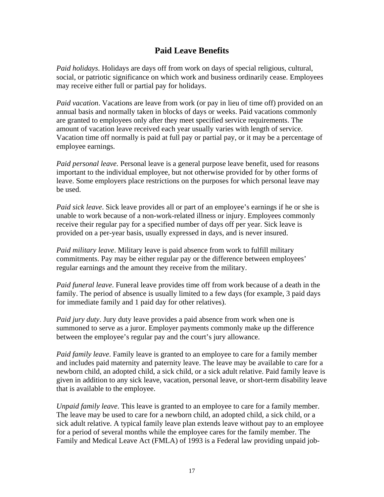## **Paid Leave Benefits**

*Paid holidays*. Holidays are days off from work on days of special religious, cultural, social, or patriotic significance on which work and business ordinarily cease. Employees may receive either full or partial pay for holidays.

*Paid vacation*. Vacations are leave from work (or pay in lieu of time off) provided on an annual basis and normally taken in blocks of days or weeks. Paid vacations commonly are granted to employees only after they meet specified service requirements. The amount of vacation leave received each year usually varies with length of service. Vacation time off normally is paid at full pay or partial pay, or it may be a percentage of employee earnings.

*Paid personal leave.* Personal leave is a general purpose leave benefit, used for reasons important to the individual employee, but not otherwise provided for by other forms of leave. Some employers place restrictions on the purposes for which personal leave may be used.

*Paid sick leave*. Sick leave provides all or part of an employee's earnings if he or she is unable to work because of a non-work-related illness or injury. Employees commonly receive their regular pay for a specified number of days off per year. Sick leave is provided on a per-year basis, usually expressed in days, and is never insured.

*Paid military leave*. Military leave is paid absence from work to fulfill military commitments. Pay may be either regular pay or the difference between employees' regular earnings and the amount they receive from the military.

*Paid funeral leave*. Funeral leave provides time off from work because of a death in the family. The period of absence is usually limited to a few days (for example, 3 paid days for immediate family and 1 paid day for other relatives).

*Paid jury duty*. Jury duty leave provides a paid absence from work when one is summoned to serve as a juror. Employer payments commonly make up the difference between the employee's regular pay and the court's jury allowance.

*Paid family leave*. Family leave is granted to an employee to care for a family member and includes paid maternity and paternity leave. The leave may be available to care for a newborn child, an adopted child, a sick child, or a sick adult relative. Paid family leave is given in addition to any sick leave, vacation, personal leave, or short-term disability leave that is available to the employee.

*Unpaid family leave*. This leave is granted to an employee to care for a family member. The leave may be used to care for a newborn child, an adopted child, a sick child, or a sick adult relative. A typical family leave plan extends leave without pay to an employee for a period of several months while the employee cares for the family member. The Family and Medical Leave Act (FMLA) of 1993 is a Federal law providing unpaid job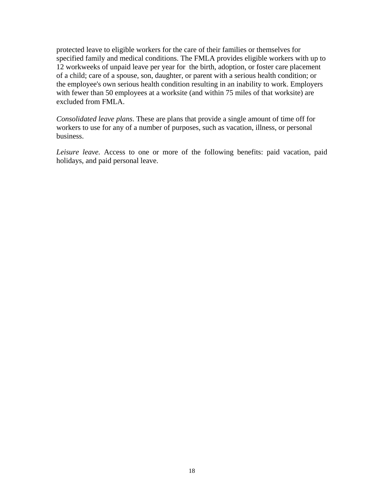protected leave to eligible workers for the care of their families or themselves for specified family and medical conditions. The FMLA provides eligible workers with up to 12 workweeks of unpaid leave per year for the birth, adoption, or foster care placement of a child; care of a spouse, son, daughter, or parent with a serious health condition; or the employee's own serious health condition resulting in an inability to work. Employers with fewer than 50 employees at a worksite (and within 75 miles of that worksite) are excluded from FMLA.

*Consolidated leave plans*. These are plans that provide a single amount of time off for workers to use for any of a number of purposes, such as vacation, illness, or personal business.

*Leisure leave.* Access to one or more of the following benefits: paid vacation, paid holidays, and paid personal leave.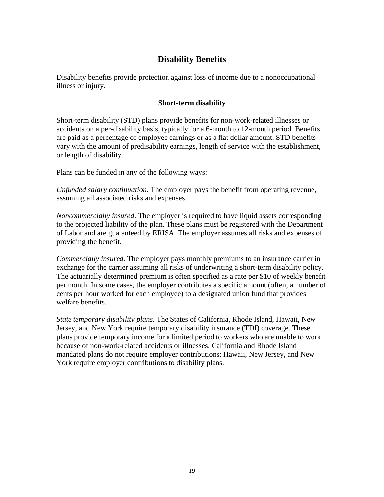# **Disability Benefits**

Disability benefits provide protection against loss of income due to a nonoccupational illness or injury.

## **Short-term disability**

Short-term disability (STD) plans provide benefits for non-work-related illnesses or accidents on a per-disability basis, typically for a 6-month to 12-month period. Benefits are paid as a percentage of employee earnings or as a flat dollar amount. STD benefits vary with the amount of predisability earnings, length of service with the establishment, or length of disability.

Plans can be funded in any of the following ways:

*Unfunded salary continuation*. The employer pays the benefit from operating revenue, assuming all associated risks and expenses.

*Noncommercially insured*. The employer is required to have liquid assets corresponding to the projected liability of the plan. These plans must be registered with the Department of Labor and are guaranteed by ERISA. The employer assumes all risks and expenses of providing the benefit.

*Commercially insured*. The employer pays monthly premiums to an insurance carrier in exchange for the carrier assuming all risks of underwriting a short-term disability policy. The actuarially determined premium is often specified as a rate per \$10 of weekly benefit per month. In some cases, the employer contributes a specific amount (often, a number of cents per hour worked for each employee) to a designated union fund that provides welfare benefits.

*State temporary disability plans*. The States of California, Rhode Island, Hawaii, New Jersey, and New York require temporary disability insurance (TDI) coverage. These plans provide temporary income for a limited period to workers who are unable to work because of non-work-related accidents or illnesses. California and Rhode Island mandated plans do not require employer contributions; Hawaii, New Jersey, and New York require employer contributions to disability plans.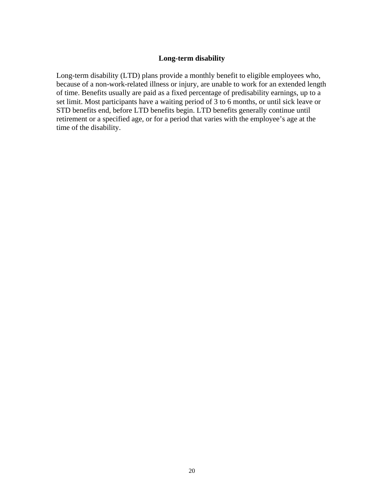## **Long-term disability**

Long-term disability (LTD) plans provide a monthly benefit to eligible employees who, because of a non-work-related illness or injury, are unable to work for an extended length of time. Benefits usually are paid as a fixed percentage of predisability earnings, up to a set limit. Most participants have a waiting period of 3 to 6 months, or until sick leave or STD benefits end, before LTD benefits begin. LTD benefits generally continue until retirement or a specified age, or for a period that varies with the employee's age at the time of the disability.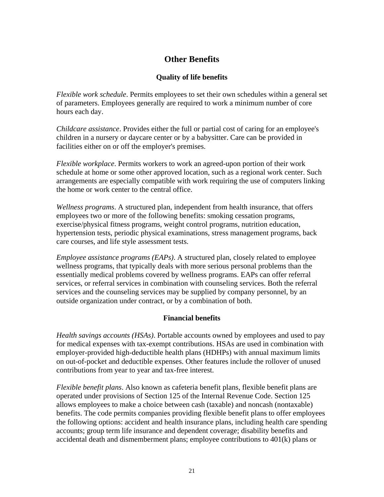# **Other Benefits**

## **Quality of life benefits**

*Flexible work schedule*. Permits employees to set their own schedules within a general set of parameters. Employees generally are required to work a minimum number of core hours each day.

*Childcare assistance*. Provides either the full or partial cost of caring for an employee's children in a nursery or daycare center or by a babysitter. Care can be provided in facilities either on or off the employer's premises.

*Flexible workplace*. Permits workers to work an agreed-upon portion of their work schedule at home or some other approved location, such as a regional work center. Such arrangements are especially compatible with work requiring the use of computers linking the home or work center to the central office.

*Wellness programs*. A structured plan, independent from health insurance, that offers employees two or more of the following benefits: smoking cessation programs, exercise/physical fitness programs, weight control programs, nutrition education, hypertension tests, periodic physical examinations, stress management programs, back care courses, and life style assessment tests.

*Employee assistance programs (EAPs)*. A structured plan, closely related to employee wellness programs, that typically deals with more serious personal problems than the essentially medical problems covered by wellness programs. EAPs can offer referral services, or referral services in combination with counseling services. Both the referral services and the counseling services may be supplied by company personnel, by an outside organization under contract, or by a combination of both.

#### **Financial benefits**

*Health savings accounts (HSAs)*. Portable accounts owned by employees and used to pay for medical expenses with tax-exempt contributions. HSAs are used in combination with employer-provided high-deductible health plans (HDHPs) with annual maximum limits on out-of-pocket and deductible expenses. Other features include the rollover of unused contributions from year to year and tax-free interest.

*Flexible benefit plans*. Also known as cafeteria benefit plans, flexible benefit plans are operated under provisions of Section 125 of the Internal Revenue Code. Section 125 allows employees to make a choice between cash (taxable) and noncash (nontaxable) benefits. The code permits companies providing flexible benefit plans to offer employees the following options: accident and health insurance plans, including health care spending accounts; group term life insurance and dependent coverage; disability benefits and accidental death and dismemberment plans; employee contributions to 401(k) plans or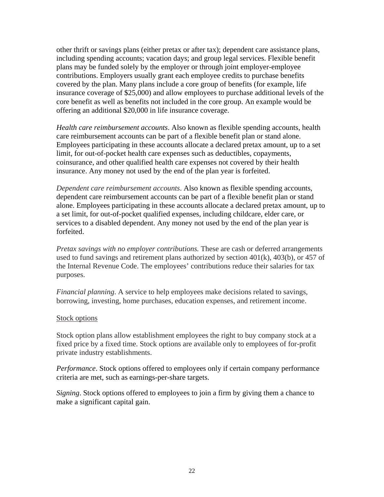other thrift or savings plans (either pretax or after tax); dependent care assistance plans, including spending accounts; vacation days; and group legal services. Flexible benefit plans may be funded solely by the employer or through joint employer-employee contributions. Employers usually grant each employee credits to purchase benefits covered by the plan. Many plans include a core group of benefits (for example, life insurance coverage of \$25,000) and allow employees to purchase additional levels of the core benefit as well as benefits not included in the core group. An example would be offering an additional \$20,000 in life insurance coverage.

*Health care reimbursement accounts*. Also known as flexible spending accounts, health care reimbursement accounts can be part of a flexible benefit plan or stand alone. Employees participating in these accounts allocate a declared pretax amount, up to a set limit, for out-of-pocket health care expenses such as deductibles, copayments, coinsurance, and other qualified health care expenses not covered by their health insurance. Any money not used by the end of the plan year is forfeited.

*Dependent care reimbursement accounts*. Also known as flexible spending accounts, dependent care reimbursement accounts can be part of a flexible benefit plan or stand alone. Employees participating in these accounts allocate a declared pretax amount, up to a set limit, for out-of-pocket qualified expenses, including childcare, elder care, or services to a disabled dependent. Any money not used by the end of the plan year is forfeited.

*Pretax savings with no employer contributions.* These are cash or deferred arrangements used to fund savings and retirement plans authorized by section 401(k), 403(b), or 457 of the Internal Revenue Code. The employees' contributions reduce their salaries for tax purposes.

*Financial planning*. A service to help employees make decisions related to savings, borrowing, investing, home purchases, education expenses, and retirement income.

#### Stock options

Stock option plans allow establishment employees the right to buy company stock at a fixed price by a fixed time. Stock options are available only to employees of for-profit private industry establishments.

*Performance*. Stock options offered to employees only if certain company performance criteria are met, such as earnings-per-share targets.

*Signing*. Stock options offered to employees to join a firm by giving them a chance to make a significant capital gain.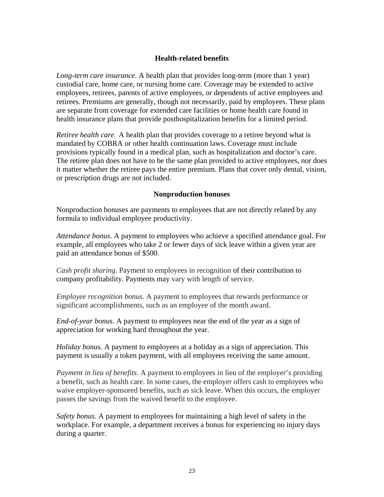## **Health-related benefits**

*Long-term care insurance*. A health plan that provides long-term (more than 1 year) custodial care, home care, or nursing home care. Coverage may be extended to active employees, retirees, parents of active employees, or dependents of active employees and retirees. Premiums are generally, though not necessarily, paid by employees. These plans are separate from coverage for extended care facilities or home health care found in health insurance plans that provide posthospitalization benefits for a limited period.

*Retiree health care*. A health plan that provides coverage to a retiree beyond what is mandated by COBRA or other health continuation laws. Coverage must include provisions typically found in a medical plan, such as hospitalization and doctor's care. The retiree plan does not have to be the same plan provided to active employees, nor does it matter whether the retiree pays the entire premium. Plans that cover only dental, vision, or prescription drugs are not included.

#### **Nonproduction bonuses**

Nonproduction bonuses are payments to employees that are not directly related by any formula to individual employee productivity.

*Attendance bonus*. A payment to employees who achieve a specified attendance goal. For example, all employees who take 2 or fewer days of sick leave within a given year are paid an attendance bonus of \$500.

*Cash profit sharing*. Payment to employees in recognition of their contribution to company profitability. Payments may vary with length of service.

*Employee recognition bonus*. A payment to employees that rewards performance or significant accomplishments, such as an employee of the month award.

*End-of-year bonus*. A payment to employees near the end of the year as a sign of appreciation for working hard throughout the year.

*Holiday bonus.* A payment to employees at a holiday as a sign of appreciation. This payment is usually a token payment, with all employees receiving the same amount.

*Payment in lieu of benefits*. A payment to employees in lieu of the employer's providing a benefit, such as health care. In some cases, the employer offers cash to employees who waive employer-sponsored benefits, such as sick leave. When this occurs, the employer passes the savings from the waived benefit to the employee.

*Safety bonus*. A payment to employees for maintaining a high level of safety in the workplace. For example, a department receives a bonus for experiencing no injury days during a quarter.